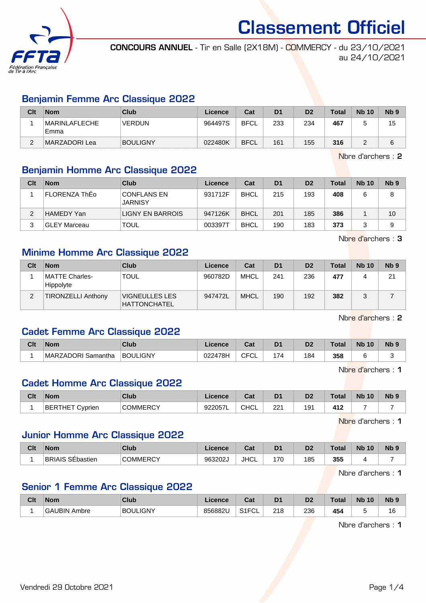

CONCOURS ANNUEL - Tir en Salle (2X18M) - COMMERCY - du 23/10/2021 au 24/10/2021

# Benjamin Femme Arc Classique 2022

| Clt | <b>Nom</b>             | Club            | Licence | Cat         | D <sub>1</sub> | D <sub>2</sub> | <b>Total</b> | <b>Nb 10</b> | Nb <sub>9</sub> |
|-----|------------------------|-----------------|---------|-------------|----------------|----------------|--------------|--------------|-----------------|
|     | MARINLAFLECHE <br>Emma | <b>VERDUN</b>   | 964497S | <b>BFCL</b> | 233            | 234            | 467          |              | 15              |
| ⌒   | MARZADORI Lea          | <b>BOULIGNY</b> | 022480K | <b>BFCL</b> | 161            | 155            | 316          |              |                 |

Nbre d'archers : 2

# Benjamin Homme Arc Classique 2022

| Clt | <b>Nom</b>           | Club                                 | Licence | Cat         | D <sub>1</sub> | D <sub>2</sub> | <b>Total</b> | <b>Nb 10</b> | N <sub>b</sub> <sub>9</sub> |
|-----|----------------------|--------------------------------------|---------|-------------|----------------|----------------|--------------|--------------|-----------------------------|
|     | <b>FLORENZA ThEo</b> | <b>CONFLANS EN</b><br><b>JARNISY</b> | 931712F | <b>BHCL</b> | 215            | 193            | 408          |              | 8                           |
|     | <b>HAMEDY Yan</b>    | <b>LIGNY EN BARROIS</b>              | 947126K | <b>BHCL</b> | 201            | 185            | 386          |              | 10                          |
| ຈ   | <b>GLEY Marceau</b>  | <b>TOUL</b>                          | 003397T | <b>BHCL</b> | 190            | 183            | 373          |              | 9                           |

Nbre d'archers : 3

## Minime Homme Arc Classique 2022

| Clt | <b>Nom</b>                  | <b>Club</b>                                  | Licence | Cat         | D <sub>1</sub> | D <sub>2</sub> | <b>Total</b> | <b>Nb 10</b> | Nb <sub>9</sub> |
|-----|-----------------------------|----------------------------------------------|---------|-------------|----------------|----------------|--------------|--------------|-----------------|
|     | MATTE Charles-<br>Hippolyte | <b>TOUL</b>                                  | 960782D | MHCL        | 241            | 236            | 477          |              | 21              |
|     | <b>TIRONZELLI Anthony</b>   | <b>VIGNEULLES LES</b><br><b>HATTONCHATEL</b> | 947472L | <b>MHCL</b> | 190            | 192            | 382          |              |                 |

Nbre d'archers : 2

# Cadet Femme Arc Classique 2022

| Clt | <b>Nom</b>         | Club            | Licence | <b>DAL</b><br>⊍م | D <sub>1</sub> | D <sub>2</sub> | `otal | <b>N<sub>b</sub></b><br>10 | Nb <sub>9</sub> |
|-----|--------------------|-----------------|---------|------------------|----------------|----------------|-------|----------------------------|-----------------|
|     | MARZADORI Samantha | <b>BOULIGNY</b> | 022478H | ◡∟<br>◡г         | '74            | 184            | 358   |                            |                 |

Nbre d'archers : 1

## Cadet Homme Arc Classique 2022

| Clt | <b>Nom</b>                      | Club            | ∠icence | <b>Tab</b><br>⊍⊌ | D <sub>1</sub> | D <sub>2</sub> | Total | <b>N<sub>b</sub></b><br>10 | N <sub>b</sub> <sub>9</sub> |
|-----|---------------------------------|-----------------|---------|------------------|----------------|----------------|-------|----------------------------|-----------------------------|
|     | <b>RTHET</b><br>'BEF<br>Cyprien | <b>COMMERCY</b> | 922057L | <b>CHCL</b>      | 221            | 9۰             | 412   |                            |                             |

Nbre d'archers : 1

#### Junior Homme Arc Classique 2022

| Clt | <b>Nom</b>                                      | Club              | Licence | $R_{\rm{eff}}$<br>ual | D <sub>1</sub>           | r.<br>ш | Га≠а<br>υια | <b>Nb</b><br>10 | N <sub>b</sub> 9 |
|-----|-------------------------------------------------|-------------------|---------|-----------------------|--------------------------|---------|-------------|-----------------|------------------|
|     | <b>BRIAIS</b><br>$. \cap$ $\Gamma$<br>SEbastier | าммFRCY<br>$\sim$ | 963202J | <b>JHCL</b>           | 7 <sup>c</sup><br>$\sim$ | 185     | 355         |                 |                  |

Nbre d'archers : 1

#### Senior 1 Femme Arc Classique 2022

| Clt | <b>Nom</b>             | <b>Club</b> | Licence | ◠؞+<br>ખ્વા              | D.                           | n.<br>υ, | <b>Total</b> | <b>N<sub>b</sub></b><br>10 | N <sub>b</sub> <sub>9</sub> |
|-----|------------------------|-------------|---------|--------------------------|------------------------------|----------|--------------|----------------------------|-----------------------------|
|     | I IRIN<br>GAI<br>Ambre | BOULIGNY    | 856882L | S <sub>1</sub> FCI<br>◡∟ | <b>010</b><br>21 U<br>$\sim$ | 236      | 454<br>__    |                            | 16<br>$\sim$                |

Nbre d'archers : 1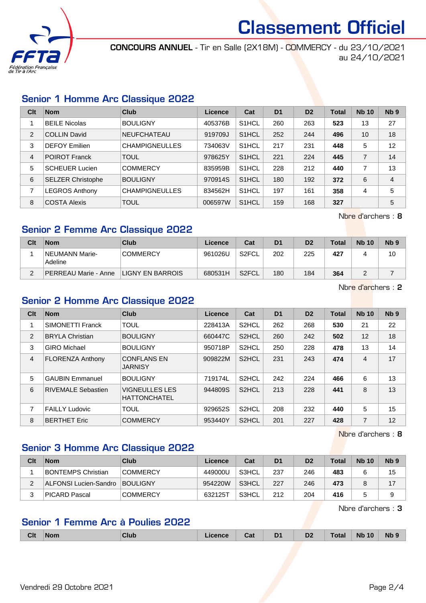

CONCOURS ANNUEL - Tir en Salle (2X18M) - COMMERCY - du 23/10/2021 au 24/10/2021

## Senior 1 Homme Arc Classique 2022

| Clt            | <b>Nom</b>               | Club                  | Licence | Cat                | D <sub>1</sub> | D <sub>2</sub> | <b>Total</b> | <b>Nb 10</b>   | N <sub>b</sub> <sub>9</sub> |
|----------------|--------------------------|-----------------------|---------|--------------------|----------------|----------------|--------------|----------------|-----------------------------|
|                | <b>BEILE Nicolas</b>     | <b>BOULIGNY</b>       | 405376B | S <sub>1</sub> HCL | 260            | 263            | 523          | 13             | 27                          |
| $\mathcal{P}$  | <b>COLLIN David</b>      | <b>NEUFCHATEAU</b>    | 919709J | S <sub>1</sub> HCL | 252            | 244            | 496          | 10             | 18                          |
| 3              | <b>DEFOY Emilien</b>     | <b>CHAMPIGNEULLES</b> | 734063V | S <sub>1</sub> HCL | 217            | 231            | 448          | 5              | 12                          |
| $\overline{4}$ | <b>POIROT Franck</b>     | <b>TOUL</b>           | 978625Y | S <sub>1</sub> HCL | 221            | 224            | 445          | $\overline{7}$ | 14                          |
| 5              | <b>SCHEUER Lucien</b>    | <b>COMMERCY</b>       | 835959B | S <sub>1</sub> HCL | 228            | 212            | 440          | 7              | 13                          |
| 6              | <b>SELZER Christophe</b> | <b>BOULIGNY</b>       | 970914S | S <sub>1</sub> HCL | 180            | 192            | 372          | 6              | $\overline{4}$              |
| 7              | <b>LEGROS Anthony</b>    | <b>CHAMPIGNEULLES</b> | 834562H | S <sub>1</sub> HCL | 197            | 161            | 358          | 4              | 5                           |
| 8              | <b>COSTA Alexis</b>      | <b>TOUL</b>           | 006597W | S <sub>1</sub> HCL | 159            | 168            | 327          |                | 5                           |

Nbre d'archers : 8

# Senior 2 Femme Arc Classique 2022

| Clt | <b>Nom</b>                  | Club                    | Licence | Cat                | D <sub>1</sub> | D <sub>2</sub> | <b>Total</b> | <b>Nb 10</b> | N <sub>b</sub> 9 |
|-----|-----------------------------|-------------------------|---------|--------------------|----------------|----------------|--------------|--------------|------------------|
|     | NEUMANN Marie-<br>Adeline   | <b>COMMERCY</b>         | 961026U | S2FCL              | 202            | 225            | 427          |              | 10               |
| ◠   | <b>PERREAU Marie - Anne</b> | <b>LIGNY EN BARROIS</b> | 680531H | S <sub>2</sub> FCL | 180            | 184            | 364          |              |                  |

Nbre d'archers : 2

# Senior 2 Homme Arc Classique 2022

| Clt | <b>Nom</b>              | Club                                         | Licence | Cat                | D <sub>1</sub> | D <sub>2</sub> | <b>Total</b> | <b>Nb 10</b> | N <sub>b</sub> <sub>9</sub> |
|-----|-------------------------|----------------------------------------------|---------|--------------------|----------------|----------------|--------------|--------------|-----------------------------|
|     | SIMONETTI Franck        | <b>TOUL</b>                                  | 228413A | S <sub>2</sub> HCL | 262            | 268            | 530          | 21           | 22                          |
| 2   | <b>BRYLA Christian</b>  | <b>BOULIGNY</b>                              | 660447C | S <sub>2</sub> HCL | 260            | 242            | 502          | 12           | 18                          |
| 3   | <b>GIRO</b> Michael     | <b>BOULIGNY</b>                              | 950718P | S <sub>2</sub> HCL | 250            | 228            | 478          | 13           | 14                          |
| 4   | <b>FLORENZA Anthony</b> | <b>CONFLANS EN</b><br><b>JARNISY</b>         | 909822M | S <sub>2</sub> HCL | 231            | 243            | 474          | 4            | 17                          |
| 5   | <b>GAUBIN Emmanuel</b>  | <b>BOULIGNY</b>                              | 719174L | S <sub>2</sub> HCL | 242            | 224            | 466          | 6            | 13                          |
| 6   | RIVEMALE Sebastien      | <b>VIGNEULLES LES</b><br><b>HATTONCHATEL</b> | 944809S | S <sub>2</sub> HCL | 213            | 228            | 441          | 8            | 13                          |
| 7   | <b>FAILLY Ludovic</b>   | <b>TOUL</b>                                  | 929652S | S <sub>2</sub> HCL | 208            | 232            | 440          | 5            | 15                          |
| 8   | <b>BERTHET Eric</b>     | <b>COMMERCY</b>                              | 953440Y | S <sub>2</sub> HCL | 201            | 227            | 428          | 7            | 12                          |

Nbre d'archers : 8

# Senior 3 Homme Arc Classique 2022

| Clt | <b>Nom</b>                | Club            | Licence | Cat   | D <sub>1</sub> | D <sub>2</sub> | Total | <b>Nb 10</b> | N <sub>b</sub> <sub>9</sub> |
|-----|---------------------------|-----------------|---------|-------|----------------|----------------|-------|--------------|-----------------------------|
|     | <b>BONTEMPS Christian</b> | <b>COMMERCY</b> | 449000U | S3HCL | 237            | 246            | 483   |              | 15                          |
|     | ALFONSI Lucien-Sandro     | <b>BOULIGNY</b> | 954220W | S3HCL | 227            | 246            | 473   |              | 17                          |
|     | PICARD Pascal             | <b>COMMERCY</b> | 632125T | S3HCL | 212            | 204            | 416   |              |                             |

Nbre d'archers : 3

# Senior 1 Femme Arc à Poulies 2022

| <b>Clt</b> | <b>Nom</b> | 'Ink<br>-11 U.S. | icence | י הי<br>ual | D <sub>1</sub><br>__ | D <sub>2</sub> | Г∩tal | 10<br><b>Nb</b> | <b>Nb</b> |
|------------|------------|------------------|--------|-------------|----------------------|----------------|-------|-----------------|-----------|
|            |            |                  |        |             |                      |                |       |                 |           |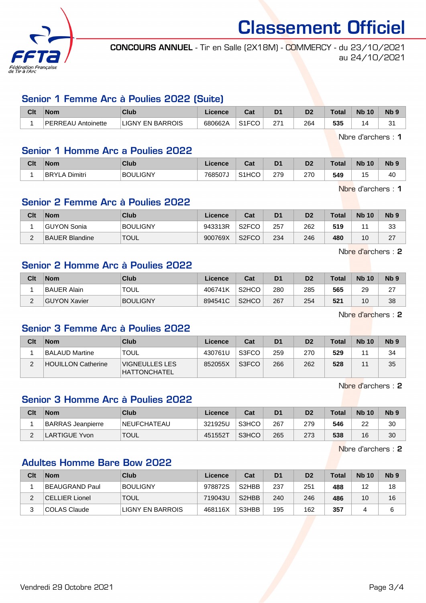

CONCOURS ANNUEL - Tir en Salle (2X18M) - COMMERCY - du 23/10/2021 au 24/10/2021

#### Senior 1 Femme Arc à Poulies 2022 (Suite)

| Clt | <b>Nom</b>              | Club                  | Licence | r.,<br>ual                  | D <sub>1</sub> | D2  | Total | <b>Nb</b><br>10 | N <sub>b</sub> s |
|-----|-------------------------|-----------------------|---------|-----------------------------|----------------|-----|-------|-----------------|------------------|
|     | PERREAU<br>`Antoinette_ | ' EN BARROIS<br>LIGNY | 680662A | $\sim$ $\sim$ $\sim$<br>-00 | 271<br>ے م     | 264 | 535   |                 | $\sim$<br>ັ      |

Nbre d'archers : 1

## Senior 1 Homme Arc a Poulies 2022

| Clt | <b>Nom</b>               | Club            | <b>Licence</b> | ∩^*<br>val         | D <sub>1</sub> | D <sub>2</sub> | <b>Total</b> | <b>Nb 10</b> | <b>N<sub>b</sub></b> |
|-----|--------------------------|-----------------|----------------|--------------------|----------------|----------------|--------------|--------------|----------------------|
|     | <b>BRYLAI</b><br>Dimitri | <b>BOULIGNY</b> | 768507J        | S <sub>1</sub> HCO | 279            | 270            | 549          | u            | 40                   |

Nbre d'archers : 1

# Senior 2 Femme Arc à Poulies 2022

| Clt      | <b>Nom</b>     | Club            | Licence | Cat                | D <sub>1</sub> | D2  | $\tau$ otal | <b>Nb 10</b> | N <sub>b</sub> <sub>9</sub> |
|----------|----------------|-----------------|---------|--------------------|----------------|-----|-------------|--------------|-----------------------------|
|          | ∣GUYON Sonia   | <b>BOULIGNY</b> | 943313R | S <sub>2</sub> FCO | 257            | 262 | 519         | и            | 33                          |
| <u>.</u> | BAUER Blandine | <b>TOUL</b>     | 900769X | S <sub>2</sub> FCO | 234            | 246 | 480         | 10           | רמ<br><u>.</u>              |

Nbre d'archers : 2

# Senior 2 Homme Arc à Poulies 2022

| Clt | <b>Nom</b>   | Club            | Licence | Cat                            | D <sub>1</sub> | D <sub>2</sub> | <b>Total</b> | <b>Nb 10</b> | Nb 9          |
|-----|--------------|-----------------|---------|--------------------------------|----------------|----------------|--------------|--------------|---------------|
|     | BAUER Alain  | <b>TOUL</b>     | 406741K | S <sub>2</sub> H <sub>CO</sub> | 280            | 285            | 565          | 29           | ົ<br><u>_</u> |
| _   | GUYON Xavier | <b>BOULIGNY</b> | 894541C | S <sub>2</sub> HCO             | 267            | 254            | 521          | 10           | 38            |

Nbre d'archers : 2

# Senior 3 Femme Arc à Poulies 2022

| Clt | <b>Nom</b>                | Club                                  | Licence | Cat   | D <sub>1</sub> | D <sub>2</sub> | <b>Total</b> | <b>Nb 10</b> | N <sub>b</sub> 9 |
|-----|---------------------------|---------------------------------------|---------|-------|----------------|----------------|--------------|--------------|------------------|
|     | BALAUD Martine_           | <b>TOUL</b>                           | 430761U | S3FCO | 259            | 270            | 529          |              | 34               |
|     | <b>HOUILLON Catherine</b> | VIGNEULLES LES<br><b>HATTONCHATEL</b> | 852055X | S3FCO | 266            | 262            | 528          |              | 35               |

Nbre d'archers : 2

# Senior 3 Homme Arc à Poulies 2022

| Clt | <b>Nom</b>               | Club               | Licence | Cat   | D1  | D <sub>2</sub> | <b>Total</b> | <b>Nb 10</b> | Nb <sub>9</sub> |
|-----|--------------------------|--------------------|---------|-------|-----|----------------|--------------|--------------|-----------------|
|     | <b>BARRAS Jeanpierre</b> | <b>NEUFCHATEAU</b> | 321925U | S3HCO | 267 | 279            | 546          | າາ<br>22     | 30              |
|     | ARTIGUE Yvon             | <b>TOUL</b>        | 451552T | S3HCO | 265 | 273            | 538          | 16           | 30              |

Nbre d'archers : 2

#### Adultes Homme Bare Bow 2022

| Clt | <b>Nom</b>            | Club             | Licence | Cat                | D <sub>1</sub> | D <sub>2</sub> | <b>Total</b> | <b>Nb 10</b> | N <sub>b</sub> <sub>9</sub> |
|-----|-----------------------|------------------|---------|--------------------|----------------|----------------|--------------|--------------|-----------------------------|
|     | BEAUGRAND Paul        | <b>BOULIGNY</b>  | 978872S | S <sub>2</sub> HBB | 237            | 251            | 488          | 12           | 18                          |
|     | <b>CELLIER Lionel</b> | <b>TOUL</b>      | 719043U | S <sub>2</sub> HBB | 240            | 246            | 486          | 10           | 16                          |
|     | COLAS Claude          | LIGNY EN BARROIS | 468116X | S3HBB              | 195            | 162            | 357          |              | 6                           |